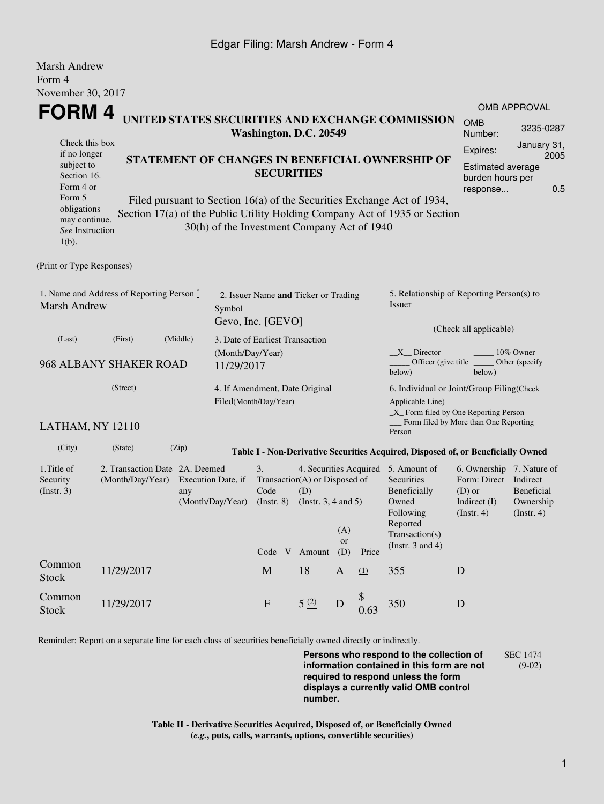## Edgar Filing: Marsh Andrew - Form 4

| <b>Marsh Andrew</b><br>Form 4                                                                                                                                                                                                                                       |                                                    |                                                                            |                                        |                                                                                                                                                              |                     |                     |                                                                                                         |                                                                                                                                                  |                                                    |                     |  |
|---------------------------------------------------------------------------------------------------------------------------------------------------------------------------------------------------------------------------------------------------------------------|----------------------------------------------------|----------------------------------------------------------------------------|----------------------------------------|--------------------------------------------------------------------------------------------------------------------------------------------------------------|---------------------|---------------------|---------------------------------------------------------------------------------------------------------|--------------------------------------------------------------------------------------------------------------------------------------------------|----------------------------------------------------|---------------------|--|
| November 30, 2017                                                                                                                                                                                                                                                   |                                                    |                                                                            |                                        |                                                                                                                                                              |                     |                     |                                                                                                         |                                                                                                                                                  |                                                    | <b>OMB APPROVAL</b> |  |
| <b>FORM4</b>                                                                                                                                                                                                                                                        |                                                    | UNITED STATES SECURITIES AND EXCHANGE COMMISSION<br>Washington, D.C. 20549 |                                        |                                                                                                                                                              |                     |                     |                                                                                                         |                                                                                                                                                  |                                                    |                     |  |
| Check this box<br>if no longer<br>subject to<br>Section 16.<br>Form 4 or<br>Form 5                                                                                                                                                                                  |                                                    | STATEMENT OF CHANGES IN BENEFICIAL OWNERSHIP OF<br><b>SECURITIES</b>       |                                        |                                                                                                                                                              |                     |                     |                                                                                                         |                                                                                                                                                  |                                                    |                     |  |
| Filed pursuant to Section 16(a) of the Securities Exchange Act of 1934,<br>obligations<br>Section 17(a) of the Public Utility Holding Company Act of 1935 or Section<br>may continue.<br>30(h) of the Investment Company Act of 1940<br>See Instruction<br>$1(b)$ . |                                                    |                                                                            |                                        |                                                                                                                                                              |                     |                     |                                                                                                         |                                                                                                                                                  |                                                    |                     |  |
| (Print or Type Responses)                                                                                                                                                                                                                                           |                                                    |                                                                            |                                        |                                                                                                                                                              |                     |                     |                                                                                                         |                                                                                                                                                  |                                                    |                     |  |
| 1. Name and Address of Reporting Person $\stackrel{*}{\text{-}}$<br><b>Marsh Andrew</b>                                                                                                                                                                             |                                                    |                                                                            | Symbol                                 | 2. Issuer Name and Ticker or Trading<br>Gevo, Inc. [GEVO]                                                                                                    |                     |                     |                                                                                                         | 5. Relationship of Reporting Person(s) to<br>Issuer<br>(Check all applicable)                                                                    |                                                    |                     |  |
| (Last)                                                                                                                                                                                                                                                              | (First)                                            | (Middle)                                                                   | 3. Date of Earliest Transaction        |                                                                                                                                                              |                     |                     |                                                                                                         |                                                                                                                                                  |                                                    |                     |  |
| 968 ALBANY SHAKER ROAD                                                                                                                                                                                                                                              |                                                    |                                                                            | (Month/Day/Year)<br>11/29/2017         |                                                                                                                                                              |                     |                     |                                                                                                         | $X$ Director<br>10% Owner<br>Officer (give title)<br>Other (specify<br>below)<br>below)                                                          |                                                    |                     |  |
| (Street)                                                                                                                                                                                                                                                            |                                                    |                                                                            |                                        | 4. If Amendment, Date Original<br>Filed(Month/Day/Year)                                                                                                      |                     |                     |                                                                                                         | 6. Individual or Joint/Group Filing(Check<br>Applicable Line)<br>_X_ Form filed by One Reporting Person<br>Form filed by More than One Reporting |                                                    |                     |  |
| LATHAM, NY 12110                                                                                                                                                                                                                                                    |                                                    |                                                                            |                                        |                                                                                                                                                              |                     |                     |                                                                                                         | Person                                                                                                                                           |                                                    |                     |  |
| (City)                                                                                                                                                                                                                                                              | (State)                                            | (Zip)                                                                      |                                        |                                                                                                                                                              |                     |                     |                                                                                                         | Table I - Non-Derivative Securities Acquired, Disposed of, or Beneficially Owned                                                                 |                                                    |                     |  |
| 1. Title of<br>Security<br>(Insert. 3)                                                                                                                                                                                                                              | 2. Transaction Date 2A. Deemed<br>(Month/Day/Year) | any                                                                        | Execution Date, if<br>(Month/Day/Year) | 3.<br>4. Securities Acquired 5. Amount of<br>Transaction(A) or Disposed of<br>Code<br>(D)<br>(Instr. $3, 4$ and $5$ )<br>$($ Instr. $8)$<br>(A)<br><b>or</b> |                     |                     | Securities<br>Beneficially<br>Owned<br>Following<br>Reported<br>Transaction(s)<br>(Instr. $3$ and $4$ ) | 6. Ownership 7. Nature of<br>Form: Direct<br>$(D)$ or<br>Indirect $(I)$<br>$($ Instr. 4 $)$                                                      | Indirect<br>Beneficial<br>Ownership<br>(Insert. 4) |                     |  |
| Common                                                                                                                                                                                                                                                              | 11/29/2017                                         |                                                                            |                                        | M                                                                                                                                                            | Code V Amount<br>18 | (D)<br>$\mathbf{A}$ | Price<br>(1)                                                                                            | 355                                                                                                                                              | D                                                  |                     |  |
| <b>Stock</b>                                                                                                                                                                                                                                                        |                                                    |                                                                            |                                        |                                                                                                                                                              |                     |                     |                                                                                                         |                                                                                                                                                  |                                                    |                     |  |
| Common<br><b>Stock</b>                                                                                                                                                                                                                                              | 11/29/2017                                         |                                                                            |                                        | $\mathbf{F}$                                                                                                                                                 | 5(2)                | D                   | 0.63                                                                                                    | 350                                                                                                                                              | D                                                  |                     |  |

Reminder: Report on a separate line for each class of securities beneficially owned directly or indirectly.

**Persons who respond to the collection of information contained in this form are not required to respond unless the form displays a currently valid OMB control number.** SEC 1474 (9-02)

**Table II - Derivative Securities Acquired, Disposed of, or Beneficially Owned (***e.g.***, puts, calls, warrants, options, convertible securities)**